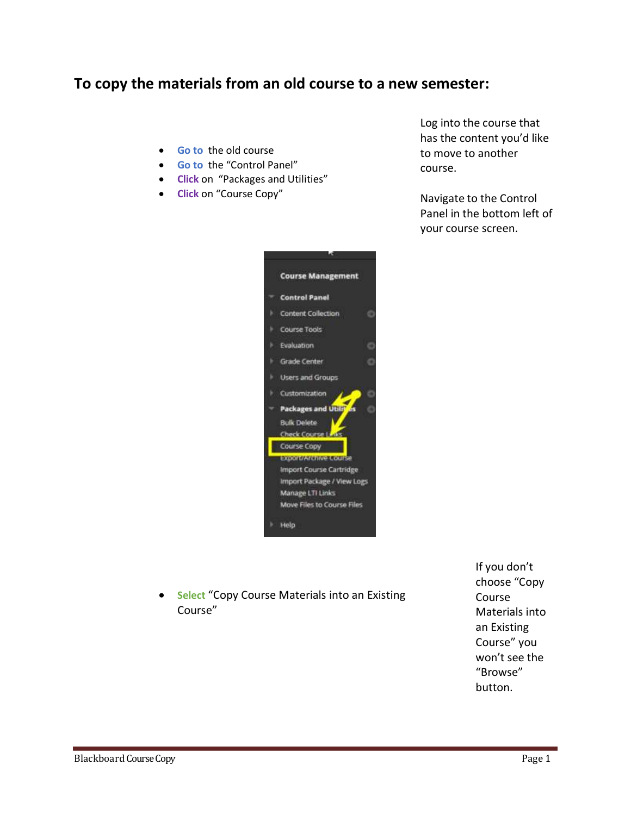## **To copy the materials from an old course to a new semester:**

- **Go to** the old course
- **Go to** the "Control Panel"
- **Click** on "Packages and Utilities"
- **Click** on "Course Copy"



 **Select** "Copy Course Materials into an Existing Course"

If you don't choose "Copy Course Materials into an Existing Course" you won't see the "Browse" button.

Log into the course that has the content you'd like to move to another course.

Navigate to the Control Panel in the bottom left of your course screen.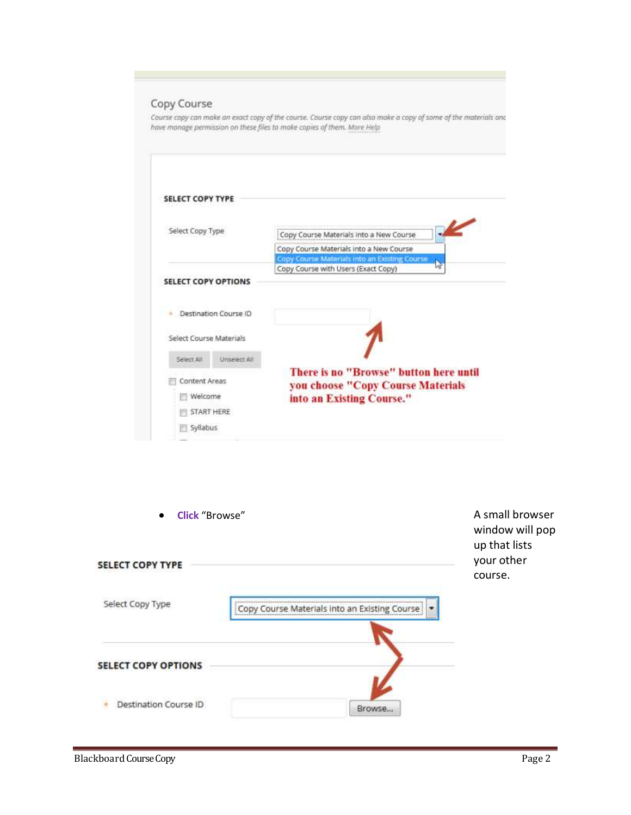## Copy Course

Course copy can make an exact copy of the course. Course copy can also make a copy of some of the materials and<br>have manage permission on these files to make copies of them. More Help

| <b>SELECT COPY TYPE</b>  |                       |                                                                                                          |
|--------------------------|-----------------------|----------------------------------------------------------------------------------------------------------|
| Select Copy Type         |                       | Copy Course Materials into a New Course                                                                  |
|                          |                       | Copy Course Materials into a New Course                                                                  |
|                          |                       | Copy Course Materials into an Existing Course                                                            |
|                          |                       | Copy Course with Users (Exact Copy)                                                                      |
|                          |                       |                                                                                                          |
|                          |                       |                                                                                                          |
|                          | Destination Course ID |                                                                                                          |
| Select Course Materials  |                       |                                                                                                          |
| Select All               | Unselect All          |                                                                                                          |
| Content Areas<br>Welcome |                       | There is no "Browse" button here until<br>you choose "Copy Course Materials<br>into an Existing Course." |
| START HERE               |                       |                                                                                                          |

| <b>Click</b> "Browse"<br>$\bullet$ |                                                  | A small browser<br>window will pop<br>up that lists |
|------------------------------------|--------------------------------------------------|-----------------------------------------------------|
| <b>SELECT COPY TYPE</b>            |                                                  | your other<br>course.                               |
| Select Copy Type                   | Course Materials into an Existing Course<br>CODV |                                                     |
| <b>SELECT COPY OPTIONS</b>         |                                                  |                                                     |
| Destination Course ID              | <b>Browse</b>                                    |                                                     |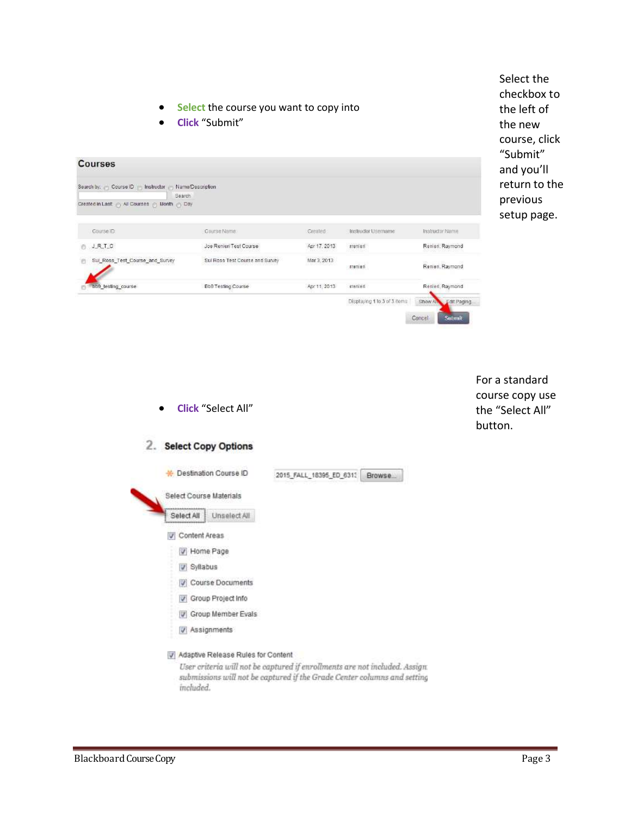- **Select** the course you want to copy into
- **Click** "Submit"

**Courses** Search by: (1) Course ID (1) Instructor (1) Name/Description Search Created in Last @ All Courses @ Month @ Day Course ID: Course Name: Created: Instructor Username Instructor Name  $0.1.012$ Renien, Raymond Apr 17, 2013 Joe Renieri Test Course rremien Sul\_Ross\_Test\_Course\_and\_Survey Sul Ross Test Course and Survey Mar 3, 2013 trenien Renien, Raymond bb9\_testing\_course Renien, Raymond **Bb9 Testing Course** Apr 11, 2013 menten Displaying 1 to 3 of 3 items Show All Edit Paging Cancel

Select the checkbox to the left of the new course, click "Submit" and you'll return to the previous setup page.

| <b>Click</b> "Select All"          |                                                                                                                                                        | For a standard<br>course copy use<br>the "Select All"<br>button. |
|------------------------------------|--------------------------------------------------------------------------------------------------------------------------------------------------------|------------------------------------------------------------------|
| 2. Select Copy Options             |                                                                                                                                                        |                                                                  |
| Destination Course ID              | 2015 FALL 18395 ED 6313<br>Browse                                                                                                                      |                                                                  |
| <b>Select Course Materials</b>     |                                                                                                                                                        |                                                                  |
| Unselect All<br>Select All         |                                                                                                                                                        |                                                                  |
| Content Areas<br>V                 |                                                                                                                                                        |                                                                  |
| V Home Page                        |                                                                                                                                                        |                                                                  |
| V Syllabus                         |                                                                                                                                                        |                                                                  |
| Course Documents                   |                                                                                                                                                        |                                                                  |
| Croup Project Info                 |                                                                                                                                                        |                                                                  |
| V Group Member Evals               |                                                                                                                                                        |                                                                  |
| V Assignments                      |                                                                                                                                                        |                                                                  |
| Adaptive Release Rules for Content |                                                                                                                                                        |                                                                  |
|                                    | User criteria will not be captured if enrollments are not included. Assign<br>submissions will not be captured if the Grade Center columns and setting |                                                                  |

included.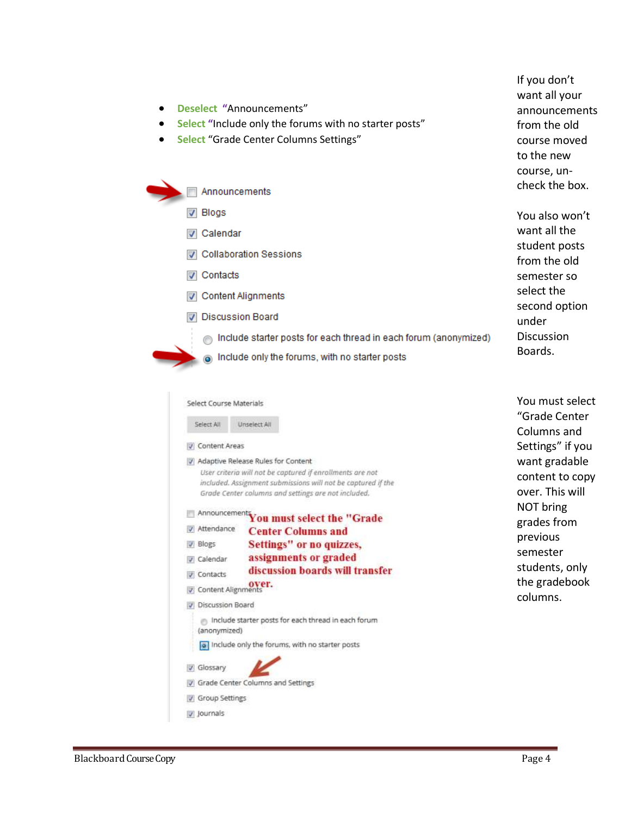- 
- Blackboard Course Copy **Page 4**

| $\sqrt{ }$ Contacts     |                                                                                                                                                                                                                             |
|-------------------------|-----------------------------------------------------------------------------------------------------------------------------------------------------------------------------------------------------------------------------|
| Content Alignments      |                                                                                                                                                                                                                             |
|                         | <b>Discussion Board</b>                                                                                                                                                                                                     |
|                         | Include starter posts for each thread in each forum (anonymized)                                                                                                                                                            |
|                         | Include only the forums, with no starter posts                                                                                                                                                                              |
| Select Course Materials |                                                                                                                                                                                                                             |
| Select All              | Unselect All                                                                                                                                                                                                                |
| Content Areas           |                                                                                                                                                                                                                             |
|                         | User criteria will not be captured if enrollments are not<br>included. Assignment submissions will not be captured if the<br>Grade Center columns and settings are not included.<br>Announcement You must select the "Grade |
| Attendance              | <b>Center Columns and</b>                                                                                                                                                                                                   |
| V Blogs                 | Settings" or no quizzes,                                                                                                                                                                                                    |
| V Calendar              | assignments or graded                                                                                                                                                                                                       |
| <b>V</b> Contacts       | discussion boards will transfer                                                                                                                                                                                             |
| Content Alignments      |                                                                                                                                                                                                                             |
| <b>Discussion Board</b> |                                                                                                                                                                                                                             |
| (anonymized)            | include starter posts for each thread in each forum                                                                                                                                                                         |
|                         | o Include only the forums, with no starter posts                                                                                                                                                                            |
| V Glossary              |                                                                                                                                                                                                                             |
|                         | Grade Center Columns and Settings                                                                                                                                                                                           |
| Group Settings          |                                                                                                                                                                                                                             |
| v Journals              |                                                                                                                                                                                                                             |

**Deselect "**Announcements"

Announcements

**V** Collaboration Sessions

**V** Blogs

 $\sim$ ÷. ÷.

**V** Calendar

- **Select "**Include only the forums with no starter posts"
- **Select** "Grade Center Columns Settings"

If you don't want all your announcements from the old course moved to the new course, uncheck the box.

You also won't want all the student posts from the old semester so select the second option under **Discussion** Boards.

You must select "Grade Center Columns and Settings" if you want gradable content to copy over. This will NOT bring grades from previous semester students, only the gradebook columns.